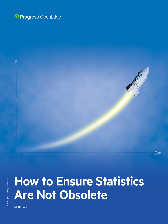



# **How to Ensure Statistics Are Not Obsolete**

**WHITEPAPER**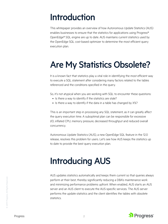## Introduction

This whitepaper provides an overview of how Autonomous Update Statistics (AUS) enables businesses to ensure that the statistics for applications using Progress® OpenEdge® SQL engine are up to date. AUS maintains current statistics used by the OpenEdge SQL cost-based optimizer to determine the most efficient query execution plan.

## Are My Statistics Obsolete?

It is a known fact that statistics play a vital role in identifying the most efficient way to execute a SQL statement after considering many factors related to the tables referenced and the conditions specified in the query.

So, it's not atypical when you are working with SQL to encounter these questions:

- Is there a way to identify if the statistics are stale?
- Is there a way to identify if the data in a table has changed by  $X\$

This is an important step in processing any SQL statement, as it can greatly affect the query execution time. A suboptimal plan can be responsible for excessive I/O, inflated CPU, memory pressure, decreased throughput and reduced overall concurrency.

Autonomous Update Statistics (AUS), a new OpenEdge SQL feature in the 12.0 release, resolves this problem for users. Let's see how AUS keeps the statistics up to date to provide the best query execution plan.

## Introducing AUS

AUS updates statistics automatically and keeps them current so that queries always perform at their best, thereby significantly reducing a DBA's maintenance work and minimizing performance problems upfront. When enabled, AUS starts an AUS server and an AUS client to execute the AUS-specific services. The AUS server performs the update statistics and the client identifies the tables with obsolete statistics.





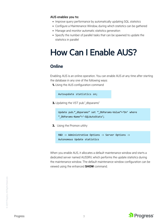### AUS enables you to:

- Improve query performance by automatically updating SQL statistics
- Configure a Maintenance Window, during which statistics can be gathered
- Manage and monitor automatic statistics generation
- Specify the number of parallel tasks that can be spawned to update the statistics in parallel

## How Can I Enable AUS?

### **Online**

Enabling AUS is an online operation. You can enable AUS at any time after starting the database in any one of the following ways:

**1.** Using the AUS configuration command

```
Autoupdate statistics on;
```
**2.** Updating the VST pub."\_dbparams"

Update pub." dbparams" set " DbParams-Value"='On' where "\_DbParams-Name"='-SQLAutoStats';

**3.** Using the Promon utility

R&D -> Administrative Options -> Server Options -> Autonomous Update statistics

When you enable AUS, it allocates a default maintenance window and starts a dedicated server named AUSSRV, which performs the update statistics during the maintenance window. The default maintenance window configuration can be viewed using the enhanced **SHOW** command.

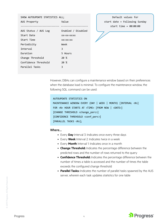| SHOW AUTOUPDATE STATISTICS ALL; |                    |  |  |  |  |  |
|---------------------------------|--------------------|--|--|--|--|--|
| AUS Property                    | Value              |  |  |  |  |  |
|                                 |                    |  |  |  |  |  |
| AUS Status / AUS Log            | Enabled / Disabled |  |  |  |  |  |
| Start Date                      | XX-XX-XXXX         |  |  |  |  |  |
| Start Time                      | XX:XX:XX           |  |  |  |  |  |
| Periodicity                     | Week               |  |  |  |  |  |
| Tnterval                        | 3                  |  |  |  |  |  |
| Duration                        | 5 Hours            |  |  |  |  |  |
| Change Threshold                | 20 %               |  |  |  |  |  |
| Confidence Threshold            | 20 %               |  |  |  |  |  |
| Parallel Tasks                  | 3                  |  |  |  |  |  |
|                                 |                    |  |  |  |  |  |

Default values for start date = Following Sunday start time = 00:00:00

However, DBAs can configure a maintenance window based on their preferences when the database load is minimal. To configure the maintenance window, the following SQL command can be used:

```
AUTOUPDATE STATISTICS ON 
MAINTENANCE WINDOW EVERY (DAY | WEEK | MONTH) [INTERVAL <N>]
FOR <N> HOUR STARTS AT <TIME> [FROM NOW | <DATE>] 
[CHANGE THRESHOLD <change perc>]
[CONFIDENCE THREHSOLD <conf_perc>]
[PARALLEL TASKS <N>];
```
Where…

- Every **Day** Interval 3: Indicates once every three days
- Every **Week** Interval 2: Indicates twice in a week
- Every **Month** Interval 1: Indicates once in a month
- **Change Threshold:** Indicates the percentage difference between the predicted rows and the number of rows returned to the query
- **Confidence Threshold:** Indicates the percentage difference between the number of times a table is accessed and the number of times the table exceeds the configured change threshold
- **Parallel Tasks:** Indicates the number of parallel tasks spawned by the AUS server, wherein each task updates statistics for one table

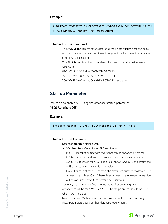#### Example:

AUTOUPDATE STATISTICS ON MAINTENANCE WINDOW EVERY DAY INTERVAL 15 FOR 5 HOUR STARTS AT "10:00" FROM "01-01-2019";

#### Impact of the command:

The **AUS Client** collects datapoints for all the Select queries once the above command is executed and continues throughout the lifetime of the database or until AUS is disabled.

The **AUS Server** is active and updates the stats during the maintenance window, i.e.,

01-01-2019 10:00 AM to 01-01-2019 03:00 PM

15-01-2019 10:00 AM to 15-01-2019 03:00 PM

30-01-2019 10:00 AM to 30-01-2019 03:00 PM and so on.

### **Startup Parameter**

You can also enable AUS using the database startup parameter "**-SQLAutoStats ON**".

#### Example:

proserve testdb -S 6789 -SQLAutoStats On -Mn 4 -Ma 3

#### Impact of the Command:

Database **testdb** is started with

- **SQLAutoStats On** indicates AUS services on.
- Mn 4 Maximum number of servers that can be spawned by broker is 4(Mn). Apart from these four servers, one additional server named AUSSRV is reserved for AUS. The broker spawns AUSSRV to perform the AUS services when the service is enabled.
- Ma 3 For each of the SQL servers, the maximum number of allowed user connections is three. Out of these three connections, one user connection will be consumed by AUS to perform AUS services.

Summary: Total number of user connections after excluding AUS connections will be Mn  $*$  Ma = 4  $*$  2 = 8. The Mn parameter should be >= 2 when AUS is enabled.

Note: The above Mn Ma parameters are just examples. DBAs can configure these parameters based on their database requirements.



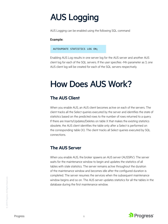## AUS Logging

AUS Logging can be enabled using the following SQL command

### Example:

#### AUTOUPDATE STATISTICS LOG ON;

Enabling AUS Log results in one server log for the AUS server and another AUS client log for each of the SQL servers. If the user specifies -Mn parameter as 3, one AUS client log will be created for each of the SQL servers respectively.

### How Does AUS Work?

### **The AUS Client**

When you enable AUS, an AUS client becomes active on each of the servers. The client tracks all the Select queries executed by the server and identifies the state of statistics based on the predicted rows to the number of rows returned to a query. If there are Inserts/Updates/Deletes on table X that makes the existing statistics obsolete, the AUS client identifies the table only after a Select is performed on the corresponding table (X). The client tracks all Select queries executed by SQL connections.

### **The AUS Server**

When you enable AUS, the broker spawns an AUS server (AUSSRV). The server waits for the maintenance window to begin and updates the statistics of all tables with stale statistics. The server remains active throughout the duration of the maintenance window and becomes idle after the configured duration is completed. The server resumes the services when the subsequent maintenance window begins and so on. The AUS server updates statistics for all the tables in the database during the first maintenance window.

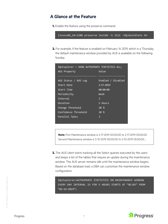### **A Glance at the Feature**

**1.** Enable the feature using the proserve command.

linuxx86\_64:120\$ proserve testdb -S 2111 -SQLAutoStats On

**2.** For example, if the feature is enabled on February 14 2019, which is a Thursday, the default maintenance window provided by AUS is available on the following Sunday.

| SQLExplorer > SHOW AUTOUPDATE STATISTICS ALL; |                    |
|-----------------------------------------------|--------------------|
| AUS Property                                  | Value              |
|                                               |                    |
| AUS Status / AUS Log                          | Enabled / Disabled |
| Start Date                                    | 2-17-2019          |
| Start Time                                    | 00:00:00           |
| Periodicity                                   | Week               |
| <b>Tnterval</b>                               | 3                  |
| Duration                                      | 5 Hours            |
| Change Threshold                              | $20\%$             |
| Confidence Threshold                          | $20\%$             |
| Parallel Tasks                                | 3                  |

**Note:** First Maintenance window is 2-17-2019 00:00:00 to 2-17-2019 05:00:00 Second Maintenance window is 3-10-2019 00:00:00 to 3-10-2019 05:00:00, …

**3.** The AUS client starts tracking all the Select queries executed by the users and keeps a list of the tables that require an update during the maintenance window. The AUS server remains idle until the maintenance window begins. Based on the database load, a DBA can customize the maintenance window configuration.

SQLExplorer>AUTOUPDATE STATISTICS ON MAINTENANCE WINDOW EVERY DAY INTERVAL 15 FOR 5 HOURS STARTS AT "02:03" FROM "02-14-2019";



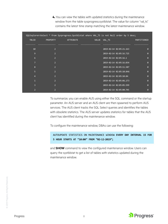**4.** You can view the tables with updated statistics during the maintenance window from the table sysprogress.systblstat. The value for column "val\_ts" contains the latest time stamp matching the latest maintenance window.

|                |                 | SQLExplorer>Select * from Sysprogress.Systblstat where VAL TS is not Null order by 5 desc; |                       |                         |             |          |
|----------------|-----------------|--------------------------------------------------------------------------------------------|-----------------------|-------------------------|-------------|----------|
| <b>TBLID</b>   | <b>PROPERTY</b> | <b>ATTRIBUTE</b>                                                                           | VALUE VAL TS          |                         | PARTITIONID |          |
|                |                 |                                                                                            |                       |                         |             |          |
| 10             | $\overline{2}$  |                                                                                            |                       | 2019-02-14 02:05:21.163 |             | $\theta$ |
| 9              | <sup>2</sup>    |                                                                                            |                       | 2019-02-14 02:05:16.725 |             | 0        |
| 6              | $\overline{2}$  |                                                                                            | 2019-02-14 02:05:16.1 |                         |             | $\theta$ |
| $\overline{7}$ | $\overline{2}$  |                                                                                            |                       | 2019-02-14 02:05:16.034 |             | Ø        |
| 8              | $\overline{2}$  |                                                                                            |                       | 2019-02-14 02:05:11.507 |             | 0        |
| 5 <sup>1</sup> | $\overline{2}$  |                                                                                            |                       | 2019-02-14 02:05:10.846 |             | Ø        |
| $\overline{4}$ | $\overline{2}$  |                                                                                            |                       | 2019-02-14 02:05:10.84  |             | Ø        |
| $\mathbf{1}$   | $\overline{2}$  |                                                                                            |                       | 2019-02-14 02:05:06.273 |             | Ø        |
| $\overline{3}$ | $\overline{2}$  |                                                                                            |                       | 2019-02-14 02:05:05.599 |             | Ø        |
| $\overline{2}$ | 2               |                                                                                            |                       | 2019-02-14 02:05:00.745 |             | Ø        |

To summarize, you can enable AUS using either the SQL command or the startup parameter. An AUS server and an AUS client are then spawned to perform AUS services. The AUS client tracks the SQL Select queries and identifies the tables with obsolete statistics. The AUS server updates statistics for tables that the AUS client has identified during the maintenance window.

To configure the maintenance window, DBAs can use the following:

AUTOUPDATE STATISTICS ON MAINTENANCE WINDOW **EVERY DAY INTERVAL 15 FOR 5 HOUR STARTS AT "10:00" FROM "02-12-2019";**

and **SHOW** command to view the configured maintenance window. Users can query the systblstat to get a list of tables with statistics updated during the maintenance window.